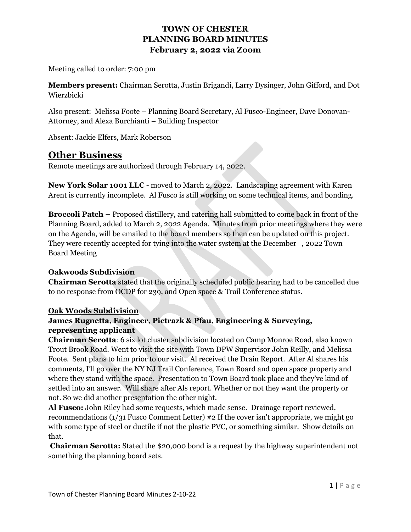Meeting called to order: 7:00 pm

**Members present:** Chairman Serotta, Justin Brigandi, Larry Dysinger, John Gifford, and Dot Wierzbicki

Also present: Melissa Foote – Planning Board Secretary, Al Fusco-Engineer, Dave Donovan-Attorney, and Alexa Burchianti – Building Inspector

Absent: Jackie Elfers, Mark Roberson

# **Other Business**

Remote meetings are authorized through February 14, 2022.

**New York Solar 1001 LLC** - moved to March 2, 2022. Landscaping agreement with Karen Arent is currently incomplete. Al Fusco is still working on some technical items, and bonding.

**Broccoli Patch –** Proposed distillery, and catering hall submitted to come back in front of the Planning Board, added to March 2, 2022 Agenda. Minutes from prior meetings where they were on the Agenda, will be emailed to the board members so then can be updated on this project. They were recently accepted for tying into the water system at the December , 2022 Town Board Meeting

#### **Oakwoods Subdivision**

**Chairman Serotta** stated that the originally scheduled public hearing had to be cancelled due to no response from OCDP for 239, and Open space & Trail Conference status.

#### **Oak Woods Subdivision**

#### **James Rugnetta, Engineer, Pietrazk & Pfau, Engineering & Surveying, representing applicant**

**Chairman Serotta**: 6 six lot cluster subdivision located on Camp Monroe Road, also known Trout Brook Road. Went to visit the site with Town DPW Supervisor John Reilly, and Melissa Foote. Sent plans to him prior to our visit. Al received the Drain Report. After Al shares his comments, I'll go over the NY NJ Trail Conference, Town Board and open space property and where they stand with the space. Presentation to Town Board took place and they've kind of settled into an answer. Will share after Als report. Whether or not they want the property or not. So we did another presentation the other night.

**Al Fusco:** John Riley had some requests, which made sense. Drainage report reviewed, recommendations (1/31 Fusco Comment Letter) #2 If the cover isn't appropriate, we might go with some type of steel or ductile if not the plastic PVC, or something similar. Show details on that.

**Chairman Serotta:** Stated the \$20,000 bond is a request by the highway superintendent not something the planning board sets.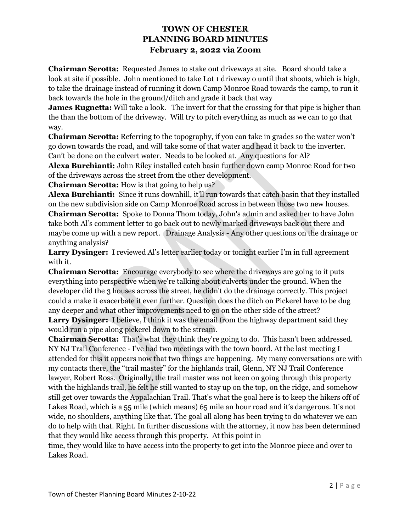**Chairman Serotta:** Requested James to stake out driveways at site. Board should take a look at site if possible. John mentioned to take Lot 1 driveway o until that shoots, which is high, to take the drainage instead of running it down Camp Monroe Road towards the camp, to run it back towards the hole in the ground/ditch and grade it back that way

**James Rugnetta:** Will take a look. The invert for that the crossing for that pipe is higher than the than the bottom of the driveway. Will try to pitch everything as much as we can to go that way.

**Chairman Serotta:** Referring to the topography, if you can take in grades so the water won't go down towards the road, and will take some of that water and head it back to the inverter. Can't be done on the culvert water. Needs to be looked at. Any questions for Al?

**Alexa Burchianti:** John Riley installed catch basin further down camp Monroe Road for two of the driveways across the street from the other development.

**Chairman Serotta:** How is that going to help us?

**Alexa Burchianti:** Since it runs downhill, it'll run towards that catch basin that they installed on the new subdivision side on Camp Monroe Road across in between those two new houses. **Chairman Serotta:** Spoke to Donna Thom today, John's admin and asked her to have John take both Al's comment letter to go back out to newly marked driveways back out there and maybe come up with a new report. Drainage Analysis - Any other questions on the drainage or anything analysis?

**Larry Dysinger:** I reviewed Al's letter earlier today or tonight earlier I'm in full agreement with it.

**Chairman Serotta:** Encourage everybody to see where the driveways are going to it puts everything into perspective when we're talking about culverts under the ground. When the developer did the 3 houses across the street, he didn't do the drainage correctly. This project could a make it exacerbate it even further. Question does the ditch on Pickerel have to be dug any deeper and what other improvements need to go on the other side of the street? Larry Dysinger: I believe, I think it was the email from the highway department said they would run a pipe along pickerel down to the stream.

**Chairman Serotta:** That's what they think they're going to do. This hasn't been addressed. NY NJ Trail Conference - I've had two meetings with the town board. At the last meeting I attended for this it appears now that two things are happening. My many conversations are with my contacts there, the "trail master" for the highlands trail, Glenn, NY NJ Trail Conference lawyer, Robert Ross. Originally, the trail master was not keen on going through this property with the highlands trail, he felt he still wanted to stay up on the top, on the ridge, and somehow still get over towards the Appalachian Trail. That's what the goal here is to keep the hikers off of Lakes Road, which is a 55 mile (which means) 65 mile an hour road and it's dangerous. It's not wide, no shoulders, anything like that. The goal all along has been trying to do whatever we can do to help with that. Right. In further discussions with the attorney, it now has been determined that they would like access through this property. At this point in

time, they would like to have access into the property to get into the Monroe piece and over to Lakes Road.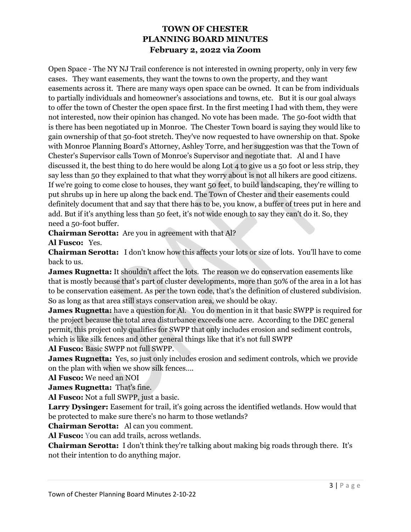Open Space - The NY NJ Trail conference is not interested in owning property, only in very few cases. They want easements, they want the towns to own the property, and they want easements across it. There are many ways open space can be owned. It can be from individuals to partially individuals and homeowner's associations and towns, etc. But it is our goal always to offer the town of Chester the open space first. In the first meeting I had with them, they were not interested, now their opinion has changed. No vote has been made. The 50-foot width that is there has been negotiated up in Monroe. The Chester Town board is saying they would like to gain ownership of that 50-foot stretch. They've now requested to have ownership on that. Spoke with Monroe Planning Board's Attorney, Ashley Torre, and her suggestion was that the Town of Chester's Supervisor calls Town of Monroe's Supervisor and negotiate that. Al and I have discussed it, the best thing to do here would be along Lot 4 to give us a 50 foot or less strip, they say less than 50 they explained to that what they worry about is not all hikers are good citizens. If we're going to come close to houses, they want 50 feet, to build landscaping, they're willing to put shrubs up in here up along the back end. The Town of Chester and their easements could definitely document that and say that there has to be, you know, a buffer of trees put in here and add. But if it's anything less than 50 feet, it's not wide enough to say they can't do it. So, they need a 50-foot buffer.

**Chairman Serotta:** Are you in agreement with that Al?

**Al Fusco:** Yes.

**Chairman Serotta:** I don't know how this affects your lots or size of lots. You'll have to come back to us.

**James Rugnetta:** It shouldn't affect the lots. The reason we do conservation easements like that is mostly because that's part of cluster developments, more than 50% of the area in a lot has to be conservation easement. As per the town code, that's the definition of clustered subdivision. So as long as that area still stays conservation area, we should be okay.

**James Rugnetta:** have a question for Al. You do mention in it that basic SWPP is required for the project because the total area disturbance exceeds one acre. According to the DEC general permit, this project only qualifies for SWPP that only includes erosion and sediment controls, which is like silk fences and other general things like that it's not full SWPP

**Al Fusco:** Basic SWPP not full SWPP.

**James Rugnetta:** Yes, so just only includes erosion and sediment controls, which we provide on the plan with when we show silk fences….

**Al Fusco:** We need an NOI

**James Rugnetta:** That's fine.

**Al Fusco:** Not a full SWPP, just a basic.

**Larry Dysinger:** Easement for trail, it's going across the identified wetlands. How would that be protected to make sure there's no harm to those wetlands?

**Chairman Serotta:** Al can you comment.

**Al Fusco:** You can add trails, across wetlands.

**Chairman Serotta:** I don't think they're talking about making big roads through there. It's not their intention to do anything major.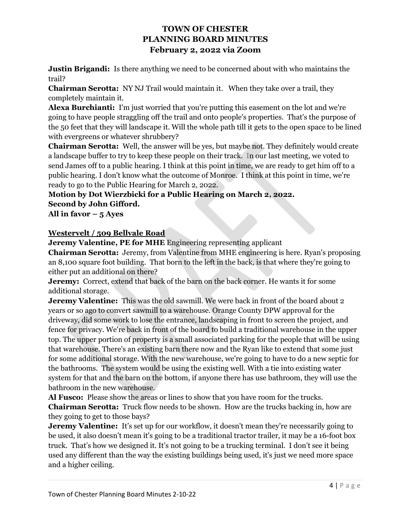**Justin Brigandi:** Is there anything we need to be concerned about with who maintains the trail?

**Chairman Serotta:** NY NJ Trail would maintain it. When they take over a trail, they completely maintain it.

**Alexa Burchianti:** I'm just worried that you're putting this easement on the lot and we're going to have people straggling off the trail and onto people's properties. That's the purpose of the 50 feet that they will landscape it. Will the whole path till it gets to the open space to be lined with evergreens or whatever shrubbery?

**Chairman Serotta:** Well, the answer will be yes, but maybe not. They definitely would create a landscape buffer to try to keep these people on their track. In our last meeting, we voted to send James off to a public hearing. I think at this point in time, we are ready to get him off to a public hearing. I don't know what the outcome of Monroe. I think at this point in time, we're ready to go to the Public Hearing for March 2, 2022.

# **Motion by Dot Wierzbicki for a Public Hearing on March 2, 2022. Second by John Gifford.**

**All in favor – 5 Ayes** 

#### **Westervelt / 509 Bellvale Road**

**Jeremy Valentine, PE for MHE** Engineering representing applicant

**Chairman Serotta:** Jeremy, from Valentine from MHE engineering is here. Ryan's proposing an 8,100 square foot building. That born to the left in the back, is that where they're going to either put an additional on there?

**Jeremy:** Correct, extend that back of the barn on the back corner. He wants it for some additional storage.

**Jeremy Valentine:** This was the old sawmill. We were back in front of the board about 2 years or so ago to convert sawmill to a warehouse. Orange County DPW approval for the driveway, did some work to lose the entrance, landscaping in front to screen the project, and fence for privacy. We're back in front of the board to build a traditional warehouse in the upper top. The upper portion of property is a small associated parking for the people that will be using that warehouse. There's an existing barn there now and the Ryan like to extend that some just for some additional storage. With the new warehouse, we're going to have to do a new septic for the bathrooms. The system would be using the existing well. With a tie into existing water system for that and the barn on the bottom, if anyone there has use bathroom, they will use the bathroom in the new warehouse.

**Al Fusco:** Please show the areas or lines to show that you have room for the trucks. **Chairman Serotta:** Truck flow needs to be shown. How are the trucks backing in, how are they going to get to those bays?

**Jeremy Valentine:** It's set up for our workflow, it doesn't mean they're necessarily going to be used, it also doesn't mean it's going to be a traditional tractor trailer, it may be a 16-foot box truck. That's how we designed it. It's not going to be a trucking terminal. I don't see it being used any different than the way the existing buildings being used, it's just we need more space and a higher ceiling.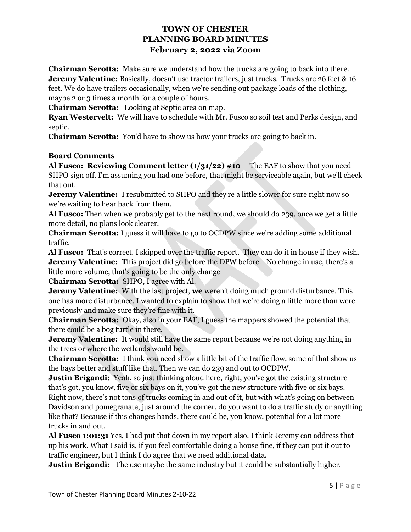**Chairman Serotta:** Make sure we understand how the trucks are going to back into there. **Jeremy Valentine:** Basically, doesn't use tractor trailers, just trucks. Trucks are 26 feet & 16 feet. We do have trailers occasionally, when we're sending out package loads of the clothing, maybe 2 or 3 times a month for a couple of hours.

**Chairman Serotta:** Looking at Septic area on map.

**Ryan Westervelt:** We will have to schedule with Mr. Fusco so soil test and Perks design, and septic.

**Chairman Serotta:** You'd have to show us how your trucks are going to back in.

#### **Board Comments**

**Al Fusco: Reviewing Comment letter (1/31/22) #10 – The EAF to show that you need** SHPO sign off. I'm assuming you had one before, that might be serviceable again, but we'll check that out.

**Jeremy Valentine:** I resubmitted to SHPO and they're a little slower for sure right now so we're waiting to hear back from them.

**Al Fusco:** Then when we probably get to the next round, we should do 239, once we get a little more detail, no plans look clearer.

**Chairman Serotta:** I guess it will have to go to OCDPW since we're adding some additional traffic.

**Al Fusco:** That's correct. I skipped over the traffic report. They can do it in house if they wish. **Jeremy Valentine:** This project did go before the DPW before. No change in use, there's a little more volume, that's going to be the only change

**Chairman Serotta:** SHPO, I agree with Al.

**Jeremy Valentine:** With the last project, **we** weren't doing much ground disturbance. This one has more disturbance. I wanted to explain to show that we're doing a little more than were previously and make sure they're fine with it.

**Chairman Serotta:** Okay, also in your EAF, I guess the mappers showed the potential that there could be a bog turtle in there.

**Jeremy Valentine:** It would still have the same report because we're not doing anything in the trees or where the wetlands would be.

**Chairman Serotta:** I think you need show a little bit of the traffic flow, some of that show us the bays better and stuff like that. Then we can do 239 and out to OCDPW.

**Justin Brigandi:** Yeah, so just thinking aloud here, right, you've got the existing structure that's got, you know, five or six bays on it, you've got the new structure with five or six bays. Right now, there's not tons of trucks coming in and out of it, but with what's going on between Davidson and pomegranate, just around the corner, do you want to do a traffic study or anything like that? Because if this changes hands, there could be, you know, potential for a lot more trucks in and out.

**Al Fusco 1:01:31** Yes, I had put that down in my report also. I think Jeremy can address that up his work. What I said is, if you feel comfortable doing a house fine, if they can put it out to traffic engineer, but I think I do agree that we need additional data.

**Justin Brigandi:** The use maybe the same industry but it could be substantially higher.